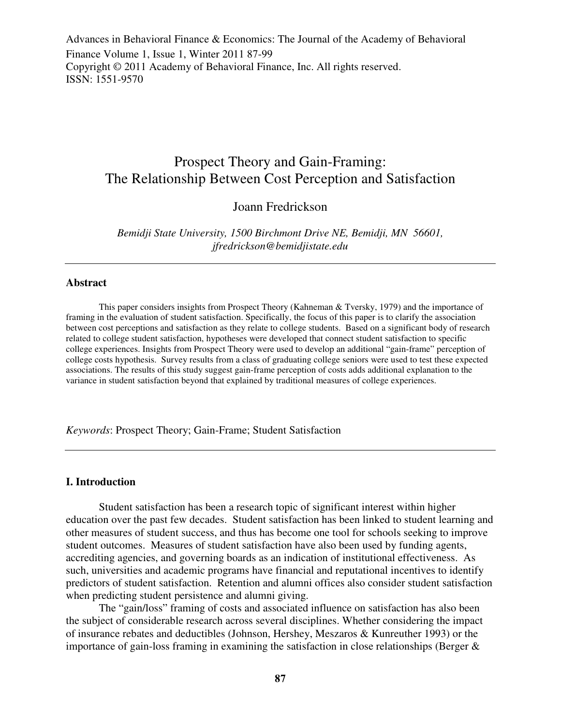Advances in Behavioral Finance & Economics: The Journal of the Academy of Behavioral Finance Volume 1, Issue 1, Winter 2011 87-99 Copyright © 2011 Academy of Behavioral Finance, Inc. All rights reserved. ISSN: 1551-9570

# Prospect Theory and Gain-Framing: The Relationship Between Cost Perception and Satisfaction

## Joann Fredrickson

*Bemidji State University, 1500 Birchmont Drive NE, Bemidji, MN 56601, jfredrickson@bemidjistate.edu* 

#### **Abstract**

This paper considers insights from Prospect Theory (Kahneman & Tversky, 1979) and the importance of framing in the evaluation of student satisfaction. Specifically, the focus of this paper is to clarify the association between cost perceptions and satisfaction as they relate to college students. Based on a significant body of research related to college student satisfaction, hypotheses were developed that connect student satisfaction to specific college experiences. Insights from Prospect Theory were used to develop an additional "gain-frame" perception of college costs hypothesis. Survey results from a class of graduating college seniors were used to test these expected associations. The results of this study suggest gain-frame perception of costs adds additional explanation to the variance in student satisfaction beyond that explained by traditional measures of college experiences.

*Keywords*: Prospect Theory; Gain-Frame; Student Satisfaction

#### **I. Introduction**

Student satisfaction has been a research topic of significant interest within higher education over the past few decades. Student satisfaction has been linked to student learning and other measures of student success, and thus has become one tool for schools seeking to improve student outcomes. Measures of student satisfaction have also been used by funding agents, accrediting agencies, and governing boards as an indication of institutional effectiveness. As such, universities and academic programs have financial and reputational incentives to identify predictors of student satisfaction. Retention and alumni offices also consider student satisfaction when predicting student persistence and alumni giving.

The "gain/loss" framing of costs and associated influence on satisfaction has also been the subject of considerable research across several disciplines. Whether considering the impact of insurance rebates and deductibles (Johnson, Hershey, Meszaros & Kunreuther 1993) or the importance of gain-loss framing in examining the satisfaction in close relationships (Berger &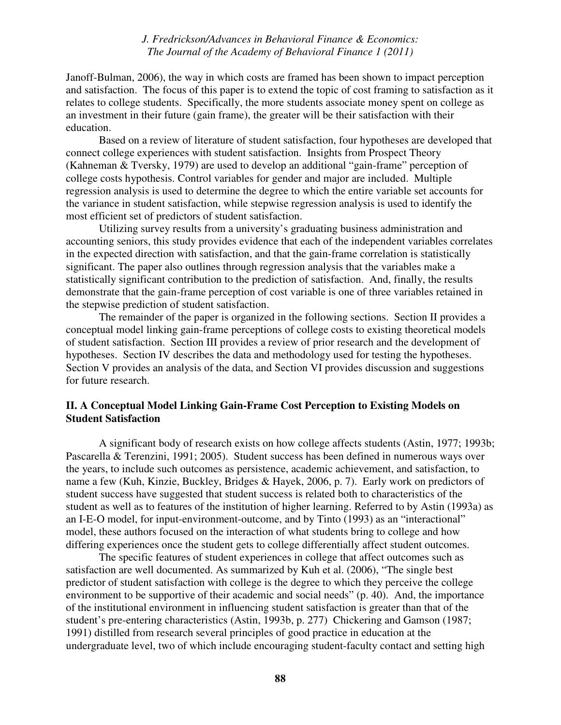Janoff-Bulman, 2006), the way in which costs are framed has been shown to impact perception and satisfaction. The focus of this paper is to extend the topic of cost framing to satisfaction as it relates to college students. Specifically, the more students associate money spent on college as an investment in their future (gain frame), the greater will be their satisfaction with their education.

Based on a review of literature of student satisfaction, four hypotheses are developed that connect college experiences with student satisfaction. Insights from Prospect Theory (Kahneman & Tversky, 1979) are used to develop an additional "gain-frame" perception of college costs hypothesis. Control variables for gender and major are included. Multiple regression analysis is used to determine the degree to which the entire variable set accounts for the variance in student satisfaction, while stepwise regression analysis is used to identify the most efficient set of predictors of student satisfaction.

Utilizing survey results from a university's graduating business administration and accounting seniors, this study provides evidence that each of the independent variables correlates in the expected direction with satisfaction, and that the gain-frame correlation is statistically significant. The paper also outlines through regression analysis that the variables make a statistically significant contribution to the prediction of satisfaction. And, finally, the results demonstrate that the gain-frame perception of cost variable is one of three variables retained in the stepwise prediction of student satisfaction.

The remainder of the paper is organized in the following sections. Section II provides a conceptual model linking gain-frame perceptions of college costs to existing theoretical models of student satisfaction. Section III provides a review of prior research and the development of hypotheses. Section IV describes the data and methodology used for testing the hypotheses. Section V provides an analysis of the data, and Section VI provides discussion and suggestions for future research.

## **II. A Conceptual Model Linking Gain-Frame Cost Perception to Existing Models on Student Satisfaction**

A significant body of research exists on how college affects students (Astin, 1977; 1993b; Pascarella & Terenzini, 1991; 2005). Student success has been defined in numerous ways over the years, to include such outcomes as persistence, academic achievement, and satisfaction, to name a few (Kuh, Kinzie, Buckley, Bridges & Hayek, 2006, p. 7). Early work on predictors of student success have suggested that student success is related both to characteristics of the student as well as to features of the institution of higher learning. Referred to by Astin (1993a) as an I-E-O model, for input-environment-outcome, and by Tinto (1993) as an "interactional" model, these authors focused on the interaction of what students bring to college and how differing experiences once the student gets to college differentially affect student outcomes.

The specific features of student experiences in college that affect outcomes such as satisfaction are well documented. As summarized by Kuh et al. (2006), "The single best predictor of student satisfaction with college is the degree to which they perceive the college environment to be supportive of their academic and social needs" (p. 40). And, the importance of the institutional environment in influencing student satisfaction is greater than that of the student's pre-entering characteristics (Astin, 1993b, p. 277) Chickering and Gamson (1987; 1991) distilled from research several principles of good practice in education at the undergraduate level, two of which include encouraging student-faculty contact and setting high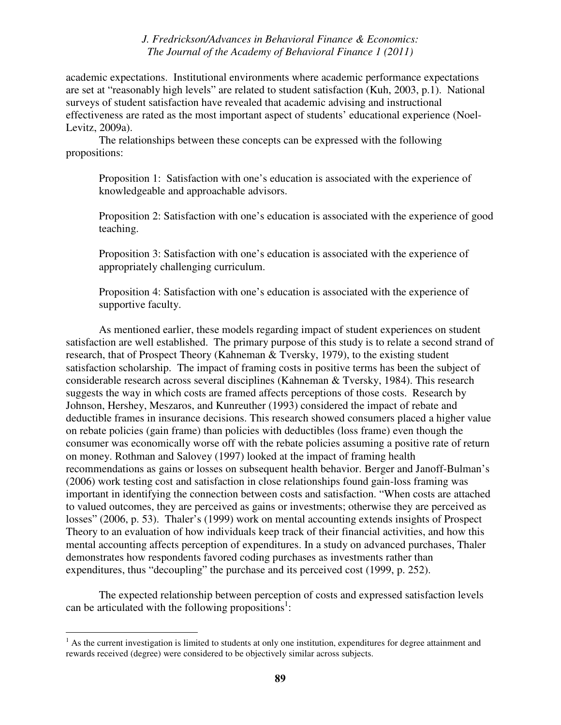academic expectations. Institutional environments where academic performance expectations are set at "reasonably high levels" are related to student satisfaction (Kuh, 2003, p.1). National surveys of student satisfaction have revealed that academic advising and instructional effectiveness are rated as the most important aspect of students' educational experience (Noel-Levitz, 2009a).

The relationships between these concepts can be expressed with the following propositions:

Proposition 1: Satisfaction with one's education is associated with the experience of knowledgeable and approachable advisors.

Proposition 2: Satisfaction with one's education is associated with the experience of good teaching.

Proposition 3: Satisfaction with one's education is associated with the experience of appropriately challenging curriculum.

Proposition 4: Satisfaction with one's education is associated with the experience of supportive faculty.

As mentioned earlier, these models regarding impact of student experiences on student satisfaction are well established. The primary purpose of this study is to relate a second strand of research, that of Prospect Theory (Kahneman & Tversky, 1979), to the existing student satisfaction scholarship. The impact of framing costs in positive terms has been the subject of considerable research across several disciplines (Kahneman & Tversky, 1984). This research suggests the way in which costs are framed affects perceptions of those costs. Research by Johnson, Hershey, Meszaros, and Kunreuther (1993) considered the impact of rebate and deductible frames in insurance decisions. This research showed consumers placed a higher value on rebate policies (gain frame) than policies with deductibles (loss frame) even though the consumer was economically worse off with the rebate policies assuming a positive rate of return on money. Rothman and Salovey (1997) looked at the impact of framing health recommendations as gains or losses on subsequent health behavior. Berger and Janoff-Bulman's (2006) work testing cost and satisfaction in close relationships found gain-loss framing was important in identifying the connection between costs and satisfaction. "When costs are attached to valued outcomes, they are perceived as gains or investments; otherwise they are perceived as losses" (2006, p. 53). Thaler's (1999) work on mental accounting extends insights of Prospect Theory to an evaluation of how individuals keep track of their financial activities, and how this mental accounting affects perception of expenditures. In a study on advanced purchases, Thaler demonstrates how respondents favored coding purchases as investments rather than expenditures, thus "decoupling" the purchase and its perceived cost (1999, p. 252).

The expected relationship between perception of costs and expressed satisfaction levels can be articulated with the following propositions<sup>1</sup>:

<sup>&</sup>lt;sup>1</sup> As the current investigation is limited to students at only one institution, expenditures for degree attainment and rewards received (degree) were considered to be objectively similar across subjects.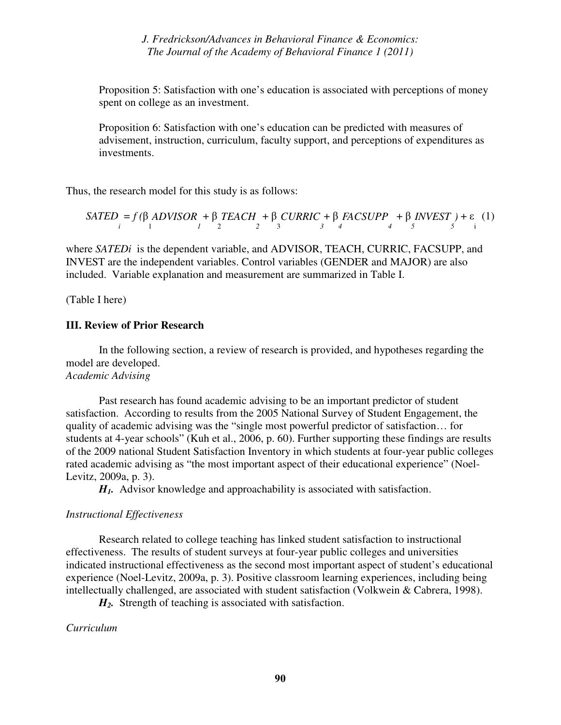Proposition 5: Satisfaction with one's education is associated with perceptions of money spent on college as an investment.

Proposition 6: Satisfaction with one's education can be predicted with measures of advisement, instruction, curriculum, faculty support, and perceptions of expenditures as investments.

Thus, the research model for this study is as follows:

$$
SATED = f(\beta ADVISOR + \beta TEACH + \beta CURRIC + \beta FACSUPP + \beta INVEST) + \varepsilon (1)
$$

where *SATEDi* is the dependent variable, and ADVISOR, TEACH, CURRIC, FACSUPP, and INVEST are the independent variables. Control variables (GENDER and MAJOR) are also included. Variable explanation and measurement are summarized in Table I.

(Table I here)

### **III. Review of Prior Research**

 In the following section, a review of research is provided, and hypotheses regarding the model are developed. *Academic Advising* 

Past research has found academic advising to be an important predictor of student satisfaction. According to results from the 2005 National Survey of Student Engagement, the quality of academic advising was the "single most powerful predictor of satisfaction… for students at 4-year schools" (Kuh et al., 2006, p. 60). Further supporting these findings are results of the 2009 national Student Satisfaction Inventory in which students at four-year public colleges rated academic advising as "the most important aspect of their educational experience" (Noel-Levitz, 2009a, p. 3).

*H1.* Advisor knowledge and approachability is associated with satisfaction.

#### *Instructional Effectiveness*

Research related to college teaching has linked student satisfaction to instructional effectiveness. The results of student surveys at four-year public colleges and universities indicated instructional effectiveness as the second most important aspect of student's educational experience (Noel-Levitz, 2009a, p. 3). Positive classroom learning experiences, including being intellectually challenged, are associated with student satisfaction (Volkwein & Cabrera, 1998).

*H2.* Strength of teaching is associated with satisfaction.

*Curriculum*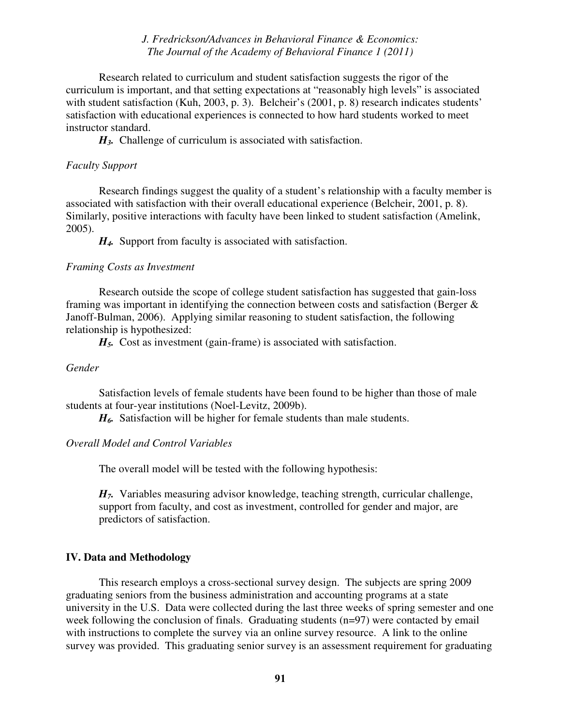Research related to curriculum and student satisfaction suggests the rigor of the curriculum is important, and that setting expectations at "reasonably high levels" is associated with student satisfaction (Kuh, 2003, p. 3). Belcheir's (2001, p. 8) research indicates students' satisfaction with educational experiences is connected to how hard students worked to meet instructor standard.

*H3.* Challenge of curriculum is associated with satisfaction.

#### *Faculty Support*

Research findings suggest the quality of a student's relationship with a faculty member is associated with satisfaction with their overall educational experience (Belcheir, 2001, p. 8). Similarly, positive interactions with faculty have been linked to student satisfaction (Amelink, 2005).

*H4.* Support from faculty is associated with satisfaction.

#### *Framing Costs as Investment*

Research outside the scope of college student satisfaction has suggested that gain-loss framing was important in identifying the connection between costs and satisfaction (Berger & Janoff-Bulman, 2006). Applying similar reasoning to student satisfaction, the following relationship is hypothesized:

*H5.* Cost as investment (gain-frame) is associated with satisfaction.

### *Gender*

Satisfaction levels of female students have been found to be higher than those of male students at four-year institutions (Noel-Levitz, 2009b).

*H6.* Satisfaction will be higher for female students than male students.

### *Overall Model and Control Variables*

The overall model will be tested with the following hypothesis:

*H7.* Variables measuring advisor knowledge, teaching strength, curricular challenge, support from faculty, and cost as investment, controlled for gender and major, are predictors of satisfaction.

### **IV. Data and Methodology**

This research employs a cross-sectional survey design. The subjects are spring 2009 graduating seniors from the business administration and accounting programs at a state university in the U.S. Data were collected during the last three weeks of spring semester and one week following the conclusion of finals. Graduating students (n=97) were contacted by email with instructions to complete the survey via an online survey resource. A link to the online survey was provided. This graduating senior survey is an assessment requirement for graduating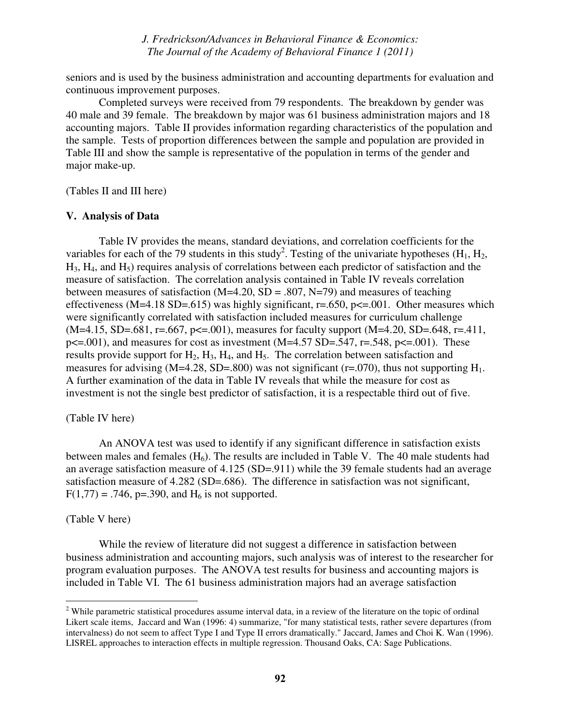seniors and is used by the business administration and accounting departments for evaluation and continuous improvement purposes.

 Completed surveys were received from 79 respondents. The breakdown by gender was 40 male and 39 female. The breakdown by major was 61 business administration majors and 18 accounting majors. Table II provides information regarding characteristics of the population and the sample. Tests of proportion differences between the sample and population are provided in Table III and show the sample is representative of the population in terms of the gender and major make-up.

(Tables II and III here)

#### **V. Analysis of Data**

Table IV provides the means, standard deviations, and correlation coefficients for the variables for each of the 79 students in this study<sup>2</sup>. Testing of the univariate hypotheses (H<sub>1</sub>, H<sub>2</sub>,  $H_3$ ,  $H_4$ , and  $H_5$ ) requires analysis of correlations between each predictor of satisfaction and the measure of satisfaction. The correlation analysis contained in Table IV reveals correlation between measures of satisfaction ( $M=4.20$ ,  $SD=.807$ ,  $N=79$ ) and measures of teaching effectiveness (M=4.18 SD=.615) was highly significant,  $r = .650$ ,  $p \le 0.001$ . Other measures which were significantly correlated with satisfaction included measures for curriculum challenge  $(M=4.15, SD=.681, r=.667, p<=.001)$ , measures for faculty support  $(M=4.20, SD=.648, r=.411,$  $p \le 0.001$ ), and measures for cost as investment (M=4.57 SD=.547, r=.548,  $p \le 0.001$ ). These results provide support for  $H_2$ ,  $H_3$ ,  $H_4$ , and  $H_5$ . The correlation between satisfaction and measures for advising (M=4.28, SD=.800) was not significant ( $r=0.070$ ), thus not supporting  $H_1$ . A further examination of the data in Table IV reveals that while the measure for cost as investment is not the single best predictor of satisfaction, it is a respectable third out of five.

#### (Table IV here)

An ANOVA test was used to identify if any significant difference in satisfaction exists between males and females  $(H_6)$ . The results are included in Table V. The 40 male students had an average satisfaction measure of 4.125 (SD=.911) while the 39 female students had an average satisfaction measure of 4.282 (SD=.686). The difference in satisfaction was not significant,  $F(1,77) = .746$ , p=.390, and  $H_6$  is not supported.

#### (Table V here)

While the review of literature did not suggest a difference in satisfaction between business administration and accounting majors, such analysis was of interest to the researcher for program evaluation purposes. The ANOVA test results for business and accounting majors is included in Table VI. The 61 business administration majors had an average satisfaction

<sup>&</sup>lt;sup>2</sup> While parametric statistical procedures assume interval data, in a review of the literature on the topic of ordinal <sup>2</sup> Likert scale items, Jaccard and Wan (1996: 4) summarize, "for many statistical tests, rather severe departures (from intervalness) do not seem to affect Type I and Type II errors dramatically." Jaccard, James and Choi K. Wan (1996). LISREL approaches to interaction effects in multiple regression. Thousand Oaks, CA: Sage Publications.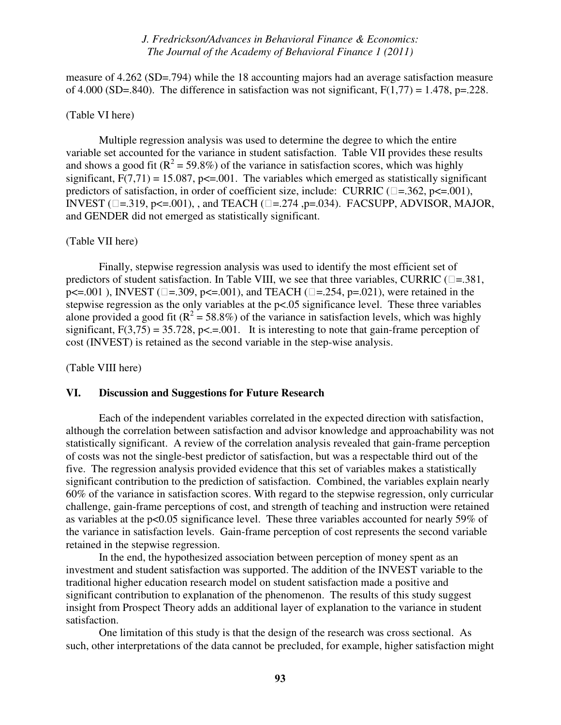measure of 4.262 (SD=.794) while the 18 accounting majors had an average satisfaction measure of 4.000 (SD=.840). The difference in satisfaction was not significant,  $F(1,77) = 1.478$ , p=.228.

## (Table VI here)

Multiple regression analysis was used to determine the degree to which the entire variable set accounted for the variance in student satisfaction. Table VII provides these results and shows a good fit ( $R^2$  = 59.8%) of the variance in satisfaction scores, which was highly significant,  $F(7,71) = 15.087$ ,  $p \le 0.001$ . The variables which emerged as statistically significant predictors of satisfaction, in order of coefficient size, include: CURRIC  $(= .362, p \le 0.001)$ , INVEST ( $=$  = .319, p $\le$  = .001), , and TEACH ( $=$  = .274 ,p=.034). FACSUPP, ADVISOR, MAJOR, and GENDER did not emerged as statistically significant.

#### (Table VII here)

Finally, stepwise regression analysis was used to identify the most efficient set of predictors of student satisfaction. In Table VIII, we see that three variables, CURRIC  $(= .381, )$  $p \le 0.001$ ), INVEST ( $= .309$ ,  $p \le 0.001$ ), and TEACH ( $= .254$ ,  $p = .021$ ), were retained in the stepwise regression as the only variables at the p<.05 significance level. These three variables alone provided a good fit ( $\mathbb{R}^2 = 58.8\%$ ) of the variance in satisfaction levels, which was highly significant,  $F(3,75) = 35.728$ ,  $p \le 0.001$ . It is interesting to note that gain-frame perception of cost (INVEST) is retained as the second variable in the step-wise analysis.

(Table VIII here)

#### **VI. Discussion and Suggestions for Future Research**

Each of the independent variables correlated in the expected direction with satisfaction, although the correlation between satisfaction and advisor knowledge and approachability was not statistically significant. A review of the correlation analysis revealed that gain-frame perception of costs was not the single-best predictor of satisfaction, but was a respectable third out of the five. The regression analysis provided evidence that this set of variables makes a statistically significant contribution to the prediction of satisfaction. Combined, the variables explain nearly 60% of the variance in satisfaction scores. With regard to the stepwise regression, only curricular challenge, gain-frame perceptions of cost, and strength of teaching and instruction were retained as variables at the  $p<0.05$  significance level. These three variables accounted for nearly 59% of the variance in satisfaction levels. Gain-frame perception of cost represents the second variable retained in the stepwise regression.

In the end, the hypothesized association between perception of money spent as an investment and student satisfaction was supported. The addition of the INVEST variable to the traditional higher education research model on student satisfaction made a positive and significant contribution to explanation of the phenomenon. The results of this study suggest insight from Prospect Theory adds an additional layer of explanation to the variance in student satisfaction.

One limitation of this study is that the design of the research was cross sectional. As such, other interpretations of the data cannot be precluded, for example, higher satisfaction might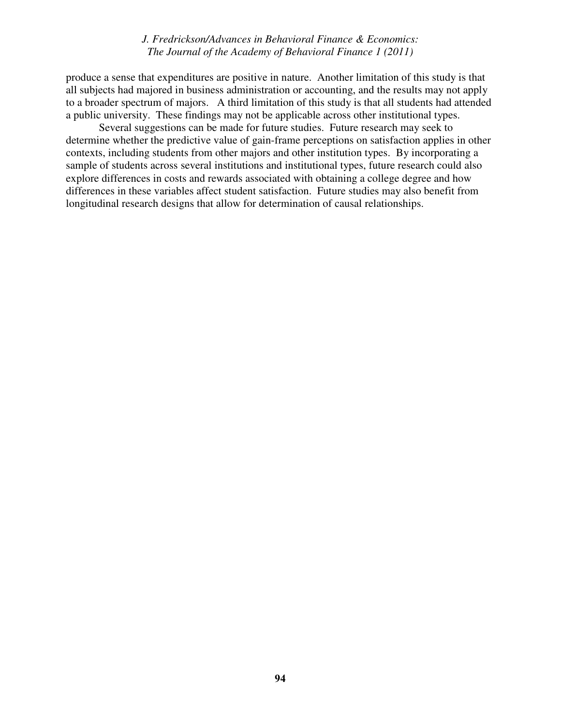produce a sense that expenditures are positive in nature. Another limitation of this study is that all subjects had majored in business administration or accounting, and the results may not apply to a broader spectrum of majors. A third limitation of this study is that all students had attended a public university. These findings may not be applicable across other institutional types.

Several suggestions can be made for future studies. Future research may seek to determine whether the predictive value of gain-frame perceptions on satisfaction applies in other contexts, including students from other majors and other institution types. By incorporating a sample of students across several institutions and institutional types, future research could also explore differences in costs and rewards associated with obtaining a college degree and how differences in these variables affect student satisfaction. Future studies may also benefit from longitudinal research designs that allow for determination of causal relationships.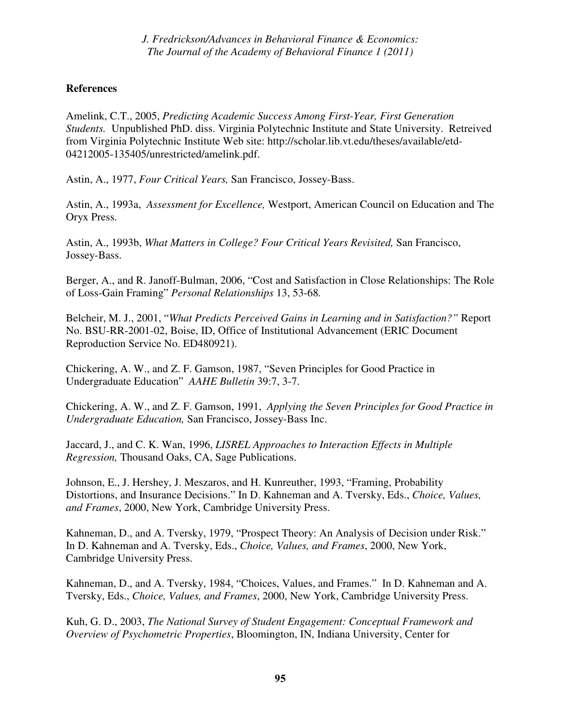## **References**

Amelink, C.T., 2005, *Predicting Academic Success Among First-Year, First Generation Students.* Unpublished PhD. diss. Virginia Polytechnic Institute and State University. Retreived from Virginia Polytechnic Institute Web site: http://scholar.lib.vt.edu/theses/available/etd-04212005-135405/unrestricted/amelink.pdf.

Astin, A., 1977, *Four Critical Years,* San Francisco, Jossey-Bass.

Astin, A., 1993a, *Assessment for Excellence,* Westport, American Council on Education and The Oryx Press.

Astin, A., 1993b, *What Matters in College? Four Critical Years Revisited,* San Francisco, Jossey-Bass.

Berger, A., and R. Janoff-Bulman, 2006, "Cost and Satisfaction in Close Relationships: The Role of Loss-Gain Framing" *Personal Relationships* 13, 53-68*.* 

Belcheir, M. J., 2001, "*What Predicts Perceived Gains in Learning and in Satisfaction?"* Report No. BSU-RR-2001-02, Boise, ID, Office of Institutional Advancement (ERIC Document Reproduction Service No. ED480921).

Chickering, A. W., and Z. F. Gamson, 1987, "Seven Principles for Good Practice in Undergraduate Education" *AAHE Bulletin* 39:7, 3-7.

Chickering, A. W., and Z. F. Gamson, 1991, *Applying the Seven Principles for Good Practice in Undergraduate Education,* San Francisco, Jossey-Bass Inc.

Jaccard, J., and C. K. Wan, 1996, *LISREL Approaches to Interaction Effects in Multiple Regression,* Thousand Oaks, CA, Sage Publications.

Johnson, E., J. Hershey, J. Meszaros, and H. Kunreuther, 1993, "Framing, Probability Distortions, and Insurance Decisions." In D. Kahneman and A. Tversky, Eds., *Choice, Values, and Frames*, 2000, New York, Cambridge University Press.

Kahneman, D., and A. Tversky, 1979, "Prospect Theory: An Analysis of Decision under Risk." In D. Kahneman and A. Tversky, Eds., *Choice, Values, and Frames*, 2000, New York, Cambridge University Press.

Kahneman, D., and A. Tversky, 1984, "Choices, Values, and Frames." In D. Kahneman and A. Tversky, Eds., *Choice, Values, and Frames*, 2000, New York, Cambridge University Press.

Kuh, G. D., 2003, *The National Survey of Student Engagement: Conceptual Framework and Overview of Psychometric Properties*, Bloomington, IN, Indiana University, Center for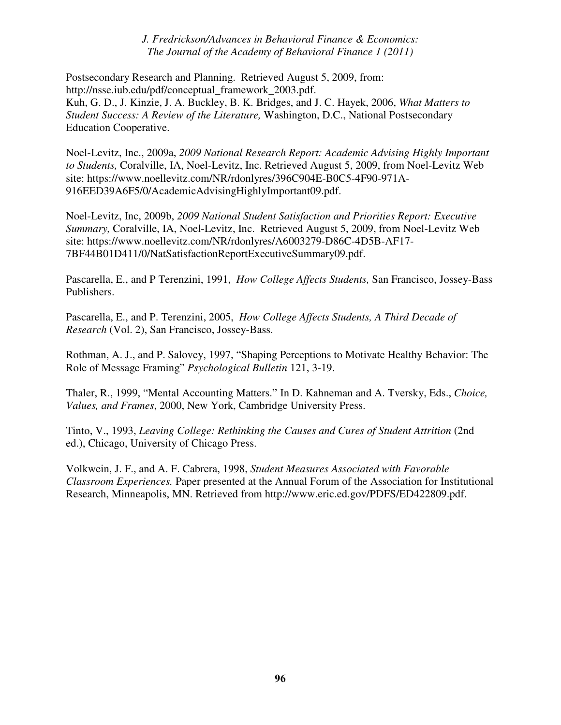Postsecondary Research and Planning. Retrieved August 5, 2009, from: http://nsse.iub.edu/pdf/conceptual\_framework\_2003.pdf. Kuh, G. D., J. Kinzie, J. A. Buckley, B. K. Bridges, and J. C. Hayek, 2006, *What Matters to Student Success: A Review of the Literature,* Washington, D.C., National Postsecondary Education Cooperative.

Noel-Levitz, Inc., 2009a, *2009 National Research Report: Academic Advising Highly Important to Students,* Coralville, IA, Noel-Levitz, Inc. Retrieved August 5, 2009, from Noel-Levitz Web site: https://www.noellevitz.com/NR/rdonlyres/396C904E-B0C5-4F90-971A-916EED39A6F5/0/AcademicAdvisingHighlyImportant09.pdf.

Noel-Levitz, Inc, 2009b, *2009 National Student Satisfaction and Priorities Report: Executive Summary,* Coralville, IA, Noel-Levitz, Inc. Retrieved August 5, 2009, from Noel-Levitz Web site: https://www.noellevitz.com/NR/rdonlyres/A6003279-D86C-4D5B-AF17- 7BF44B01D411/0/NatSatisfactionReportExecutiveSummary09.pdf.

Pascarella, E., and P Terenzini, 1991, *How College Affects Students,* San Francisco, Jossey-Bass Publishers.

Pascarella, E., and P. Terenzini, 2005, *How College Affects Students, A Third Decade of Research* (Vol. 2), San Francisco, Jossey-Bass.

Rothman, A. J., and P. Salovey, 1997, "Shaping Perceptions to Motivate Healthy Behavior: The Role of Message Framing" *Psychological Bulletin* 121, 3-19.

Thaler, R., 1999, "Mental Accounting Matters." In D. Kahneman and A. Tversky, Eds., *Choice, Values, and Frames*, 2000, New York, Cambridge University Press.

Tinto, V., 1993, *Leaving College: Rethinking the Causes and Cures of Student Attrition* (2nd ed.), Chicago, University of Chicago Press.

Volkwein, J. F., and A. F. Cabrera, 1998, *Student Measures Associated with Favorable Classroom Experiences.* Paper presented at the Annual Forum of the Association for Institutional Research, Minneapolis, MN. Retrieved from http://www.eric.ed.gov/PDFS/ED422809.pdf.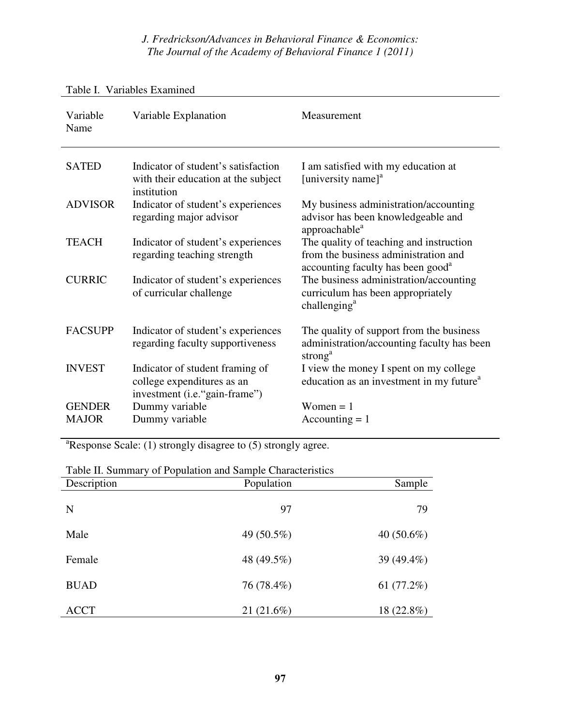| Variable<br>Name              | Variable Explanation                                                                            | Measurement                                                                                                                      |
|-------------------------------|-------------------------------------------------------------------------------------------------|----------------------------------------------------------------------------------------------------------------------------------|
| <b>SATED</b>                  | Indicator of student's satisfaction<br>with their education at the subject<br>institution       | I am satisfied with my education at<br>[university name] <sup>a</sup>                                                            |
| <b>ADVISOR</b>                | Indicator of student's experiences<br>regarding major advisor                                   | My business administration/accounting<br>advisor has been knowledgeable and<br>approachable <sup>a</sup>                         |
| <b>TEACH</b>                  | Indicator of student's experiences<br>regarding teaching strength                               | The quality of teaching and instruction<br>from the business administration and<br>accounting faculty has been good <sup>a</sup> |
| <b>CURRIC</b>                 | Indicator of student's experiences<br>of curricular challenge                                   | The business administration/accounting<br>curriculum has been appropriately<br>challenging $a$                                   |
| <b>FACSUPP</b>                | Indicator of student's experiences<br>regarding faculty supportiveness                          | The quality of support from the business<br>administration/accounting faculty has been<br>strong <sup>a</sup>                    |
| <b>INVEST</b>                 | Indicator of student framing of<br>college expenditures as an<br>investment (i.e. "gain-frame") | I view the money I spent on my college<br>education as an investment in my future <sup>a</sup>                                   |
| <b>GENDER</b><br><b>MAJOR</b> | Dummy variable<br>Dummy variable                                                                | Women $= 1$<br>$Accounting = 1$                                                                                                  |

## Table I. Variables Examined

 $a$ Response Scale: (1) strongly disagree to (5) strongly agree.

| Description | Population | Sample        |
|-------------|------------|---------------|
| N           | 97         | 79            |
| Male        | 49 (50.5%) | 40 $(50.6\%)$ |
| Female      | 48 (49.5%) | 39 (49.4%)    |
| <b>BUAD</b> | 76 (78.4%) | 61 $(77.2%)$  |
| <b>ACCT</b> | 21(21.6%)  | 18 (22.8%)    |

Table II. Summary of Population and Sample Characteristics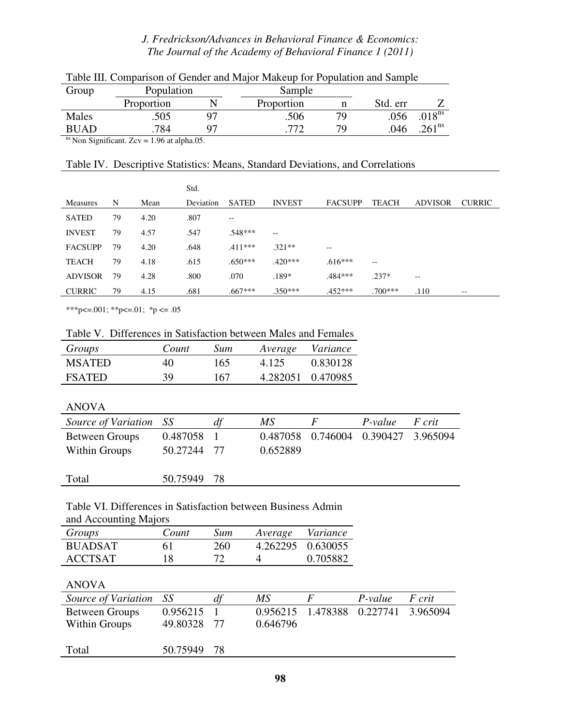| Group       | Population | Sample     |    |          |                   |
|-------------|------------|------------|----|----------|-------------------|
|             | Proportion | Proportion |    | Std. err |                   |
| Males       | .505       | .506       | 79 | .056     | $.018^{\rm ns}$   |
| <b>BUAD</b> | 784        |            | 79 | .046     | $261^{\text{ns}}$ |
|             |            |            |    |          |                   |

| Table III. Comparison of Gender and Major Makeup for Population and Sample |  |  |  |
|----------------------------------------------------------------------------|--|--|--|
|                                                                            |  |  |  |

 $\frac{m}{s}$  Non Significant. Zcv = 1.96 at alpha.05.

## Table IV. Descriptive Statistics: Means, Standard Deviations, and Correlations

|                 |    |      | Std.      |                                       |               |                   |                   |                |               |
|-----------------|----|------|-----------|---------------------------------------|---------------|-------------------|-------------------|----------------|---------------|
| <b>Measures</b> | N  | Mean | Deviation | <b>SATED</b>                          | <b>INVEST</b> | <b>FACSUPP</b>    | <b>TEACH</b>      | <b>ADVISOR</b> | <b>CURRIC</b> |
| <b>SATED</b>    | 79 | 4.20 | .807      | $\hspace{0.05cm}$ – $\hspace{0.05cm}$ |               |                   |                   |                |               |
| <b>INVEST</b>   | 79 | 4.57 | .547      | .548***                               | $-$           |                   |                   |                |               |
| <b>FACSUPP</b>  | 79 | 4.20 | .648      | $.411***$                             | $.321**$      | $\qquad \qquad -$ |                   |                |               |
| <b>TEACH</b>    | 79 | 4.18 | .615      | $.650***$                             | $.420***$     | $.616***$         | $\qquad \qquad -$ |                |               |
| <b>ADVISOR</b>  | 79 | 4.28 | .800      | .070                                  | $.189*$       | .484***           | $.237*$           | $-\,-$         |               |
| <b>CURRIC</b>   | 79 | 4.15 | .681      | .667***                               | $.350***$     | $.452***$         | $.700***$         | .110           | $- -$         |

\*\*\*p<=.001; \*\*p<=.01; \*p <= .05

|  |  |  |  |  |  | Table V. Differences in Satisfaction between Males and Females |
|--|--|--|--|--|--|----------------------------------------------------------------|
|--|--|--|--|--|--|----------------------------------------------------------------|

| Groups        | Count | Sum | Average Variance  |          |
|---------------|-------|-----|-------------------|----------|
| <b>MSATED</b> | 40    | 165 | 4.125             | 0.830128 |
| <b>FSATED</b> | 39    | 167 | 4.282051 0.470985 |          |

#### ANOVA

| Source of Variation SS |             | a1 | МS       | $\mathbf{F}$                        | P-value | F crit |
|------------------------|-------------|----|----------|-------------------------------------|---------|--------|
| <b>Between Groups</b>  | 0.487058 1  |    |          | 0.487058 0.746004 0.390427 3.965094 |         |        |
| Within Groups          | 50.27244 77 |    | 0.652889 |                                     |         |        |
|                        |             |    |          |                                     |         |        |
| Total                  | 50.75949 78 |    |          |                                     |         |        |

#### Table VI. Differences in Satisfaction between Business Admin and Accounting Majors

| $\frac{1}{2}$  |       |     |                  |                   |  |  |  |  |
|----------------|-------|-----|------------------|-------------------|--|--|--|--|
| Groups         | Count | Sum | Average Variance |                   |  |  |  |  |
| <b>BUADSAT</b> | 61    | 260 |                  | 4.262295 0.630055 |  |  |  |  |
| <b>ACCTSAT</b> | 18    |     | 4                | 0.705882          |  |  |  |  |

## ANOVA

| Source of Variation SS | dt | МS                         | $P-value$ | F crit                              |
|------------------------|----|----------------------------|-----------|-------------------------------------|
| 0.956215               |    |                            |           |                                     |
|                        |    | 0.646796                   |           |                                     |
|                        |    |                            |           |                                     |
|                        |    | 49.80328 77<br>50.75949 78 |           | 0.956215 1.478388 0.227741 3.965094 |